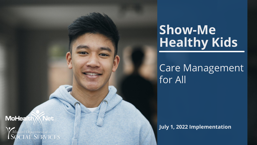#### **MoHea** Vet

Missouri Department of<br>SOCIAL SERVICES

# Care Management for All

July 1, 2022 Implementation

# Show-Me Healthy Kids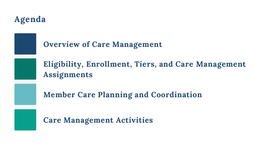

## Agenda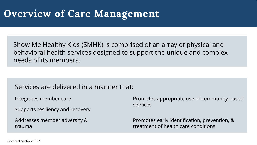# Overview of Care Management

Contract Section: 3.7.1

Show Me Healthy Kids (SMHK) is comprised of an array of physical and behavioral health services designed to support the unique and complex needs of its members.

Services are delivered in a manner that:

Promotes early identification, prevention, & treatment of health care conditions

Addresses member adversity & trauma

Promotes appropriate use of community-based

services

Supports resiliency and recovery

Integrates member care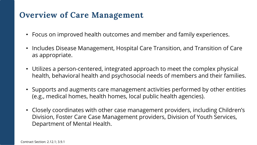## Overview of Care Management

- Focus on improved health outcomes and member and family experiences.
- Includes Disease Management, Hospital Care Transition, and Transition of Care as appropriate.
- Utilizes a person-centered, integrated approach to meet the complex physical health, behavioral health and psychosocial needs of members and their families.
- Supports and augments care management activities performed by other entities (e.g., medical homes, health homes, local public health agencies).
- Closely coordinates with other case management providers, including Children's Division, Foster Care Case Management providers, Division of Youth Services, Department of Mental Health.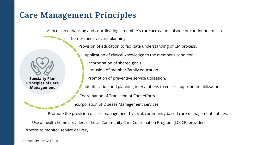## Care Management Principles

Specialty Plan Principles of Care Management

A focus on enhancing and coordinating a member's care across an episode or continuum of care.

Comprehensive care planning.

Provision of education to facilitate understanding of CM process.



Application of clinical knowledge to the member's condition.

Incorporation of shared goals.

Inclusion of member/family education.

Promotion of preventive service utilization.

Identification and planning interventions to ensure appropriate utilization.

Coordination of Transition of Care efforts.

Incorporation of Disease Management services.

Promote the provision of care management by local, community-based care management entities.

Use of health home providers or Local Community Care Coordination Program (LCCCP) providers. Process to monitor service delivery.

Contract Section: 2.12.1a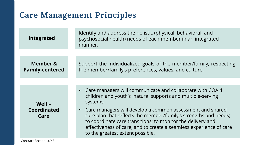## Care Management Principles

#### Integrated

#### Member & Family-centered

Identify and address the holistic (physical, behavioral, and psychosocial health) needs of each member in an integrated manner.

Support the individualized goals of the member/family, respecting the member/family's preferences, values, and culture.

#### Well – Coordinated Care

- Care managers will communicate and collaborate with COA 4 children and youth's natural supports and multiple-serving systems.
- Care managers will develop a common assessment and shared care plan that reflects the member/family's strengths and needs; to coordinate care transitions; to monitor the delivery and effectiveness of care; and to create a seamless experience of care to the greatest extent possible.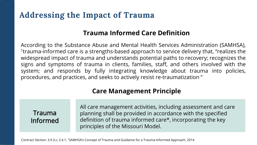## Addressing the Impact of Trauma

### Trauma Informed

All care management activities, including assessment and care planning shall be provided in accordance with the specified definition of trauma informed care\*, incorporating the key principles of the Missouri Model.

Contract Section: 3.9.3.c; 2.4.1; <sup>1</sup>SAMHSA's Concept of Trauma and Guidance for a Trauma-Informed Approach, 2014

According to the Substance Abuse and Mental Health Services Administration (SAMHSA), <sup>1</sup>trauma-informed care is a strengths-based approach to service delivery that, "realizes the widespread impact of trauma and understands potential paths to recovery; recognizes the signs and symptoms of trauma in clients, families, staff, and others involved with the system; and responds by fully integrating knowledge about trauma into policies, procedures, and practices, and seeks to actively resist re-traumatization "

## Trauma Informed Care Definition

## Care Management Principle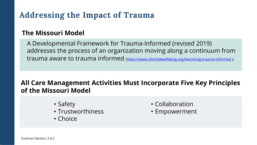## Addressing the Impact of Trauma

A Developmental Framework for Trauma-Informed (revised 2019) addresses the process of an organization moving along a continuum from trauma aware to trauma informed [\(https://www.cfechildwellbeing.org/becoming-trauma-informed](https://www.cfechildwellbeing.org/becoming-trauma-informed)).

#### • Collaboration • Empowerment

### The Missouri Model

### All Care Management Activities Must Incorporate Five Key Principles of the Missouri Model

- Safety
- Trustworthiness
- Choice
- Contract Section: 2.4.2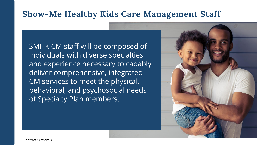## Show-Me Healthy Kids Care Management Staff

SMHK CM staff will be composed of individuals with diverse specialties and experience necessary to capably deliver comprehensive, integrated CM services to meet the physical, behavioral, and psychosocial needs of Specialty Plan members.

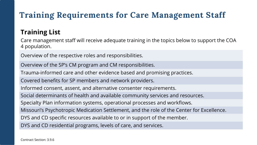## Training Requirements for Care Management Staff

## Training List

- 
- 
- 
- 
- 
- 
- 

Overview of the respective roles and responsibilities.

Overview of the SP's CM program and CM responsibilities. Trauma-informed care and other evidence based and promising practices. Covered benefits for SP members and network providers. Informed consent, assent, and alternative consenter requirements. Social determinants of health and available community services and resources. Specialty Plan information systems, operational processes and workflows. Missouri's Psychotropic Medication Settlement, and the role of the Center for Excellence. DYS and CD specific resources available to or in support of the member. DYS and CD residential programs, levels of care, and services.

Care management staff will receive adequate training in the topics below to support the COA 4 population.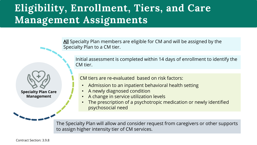# Eligibility, Enrollment, Tiers, and Care Management Assignments

All Specialty Plan members are eligible for CM and will be assigned by the Specialty Plan to a CM tier.

Initial assessment is completed within 14 days of enrollment to identify the CM tier.

CM tiers are re-evaluated based on risk factors:

Specialty Plan Care

Management

- 
- 
- 

- Admission to an inpatient behavioral health setting
- A newly diagnosed condition
- A change in service utilization levels The prescription of a psychotropic medication or newly identified
- psychosocial need

The Specialty Plan will allow and consider request from caregivers or other supports to assign higher intensity tier of CM services.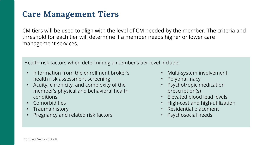## Care Management Tiers

- Information from the enrollment broker's health risk assessment screening
- Acuity, chronicity, and complexity of the member's physical and behavioral health conditions
- Comorbidities
- Trauma history
- Pregnancy and related risk factors
- Multi-system involvement
- Polypharmacy
- Psychotropic medication prescription(s)
- Elevated blood lead levels
- High-cost and high-utilization
- Residential placement
- Psychosocial needs

CM tiers will be used to align with the level of CM needed by the member. The criteria and threshold for each tier will determine if a member needs higher or lower care management services.

Health risk factors when determining a member's tier level include: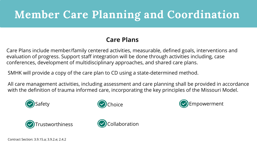# Member Care Planning and Coordination

#### Care Plans

Care Plans include member/family centered activities, measurable, defined goals, interventions and evaluation of progress. Support staff integration will be done through activities including, case conferences, development of multidisciplinary approaches, and shared care plans.

SMHK will provide a copy of the care plan to CD using a state-determined method.

All care management activities, including assessment and care planning shall be provided in accordance with the definition of trauma informed care, incorporating the key principles of the Missouri Model.











Contract Section: 3.9.15.a; 3.9.2.e; 2.4.2

- 
- 
-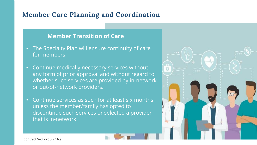#### Member Care Planning and Coordination

#### Member Transition of Care

- The Specialty Plan will ensure continuity of care for members.
- Continue medically necessary services without any form of prior approval and without regard to whether such services are provided by in-network or out-of-network providers.
- Continue services as such for at least six months unless the member/family has opted to discontinue such services or selected a provider that is in-network.

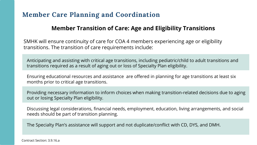### Member Care Planning and Coordination

### Member Transition of Care: Age and Eligibility Transitions

Contract Section: 3.9.16.a

- 
- 
- 
- 
- 
- 

Anticipating and assisting with critical age transitions, including pediatric/child to adult transitions and transitions required as a result of aging out or loss of Specialty Plan eligibility.

Ensuring educational resources and assistance are offered in planning for age transitions at least six months prior to critical age transitions.

Providing necessary information to inform choices when making transition-related decisions due to aging out or losing Specialty Plan eligibility.

Discussing legal considerations, financial needs, employment, education, living arrangements, and social needs should be part of transition planning.

The Specialty Plan's assistance will support and not duplicate/conflict with CD, DYS, and DMH.

SMHK will ensure continuity of care for COA 4 members experiencing age or eligibility transitions. The transition of care requirements include: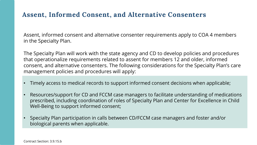### Assent, Informed Consent, and Alternative Consenters

The Specialty Plan will work with the state agency and CD to develop policies and procedures that operationalize requirements related to assent for members 12 and older, informed consent, and alternative consenters. The following considerations for the Specialty Plan's care management policies and procedures will apply:

- Timely access to medical records to support informed consent decisions when applicable;
- Resources/support for CD and FCCM case managers to facilitate understanding of medications prescribed, including coordination of roles of Specialty Plan and Center for Excellence in Child Well-Being to support informed consent;
- Specialty Plan participation in calls between CD/FCCM case managers and foster and/or biological parents when applicable.

Assent, informed consent and alternative consenter requirements apply to COA 4 members in the Specialty Plan.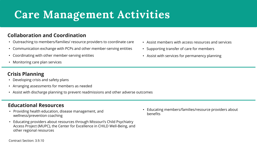# Care Management Activities

#### Collaboration and Coordination

#### Educational Resources

#### Crisis Planning

- Providing health education, disease management, and wellness/prevention coaching
- Educating providers about resources through Missouri's Child Psychiatry Access Project (MUPC), the Center for Excellence in CHILD Well-Being, and other regional resources
- Outreaching to members/families/ resource providers to coordinate care
- Communication exchange with PCPs and other member-serving entities
- Coordinating with other member-serving entities Assist with services for permanency planning
- Monitoring care plan services
- Assist members with access resources and services
- Supporting transfer of care for members
- 

- Developing crisis and safety plans
- Arranging assessments for members as needed
- Assist with discharge planning to prevent readmissions and other adverse outcomes



• Educating members/families/resource providers about

benefits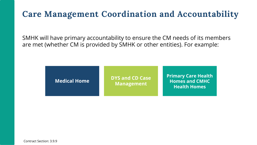## Care Management Coordination and Accountability

Contract Section: 3.9.9

SMHK will have primary accountability to ensure the CM needs of its members are met (whether CM is provided by SMHK or other entities). For example:

Medical Home DYS and CD Case Management

Primary Care Health Homes and CMHC Health Homes